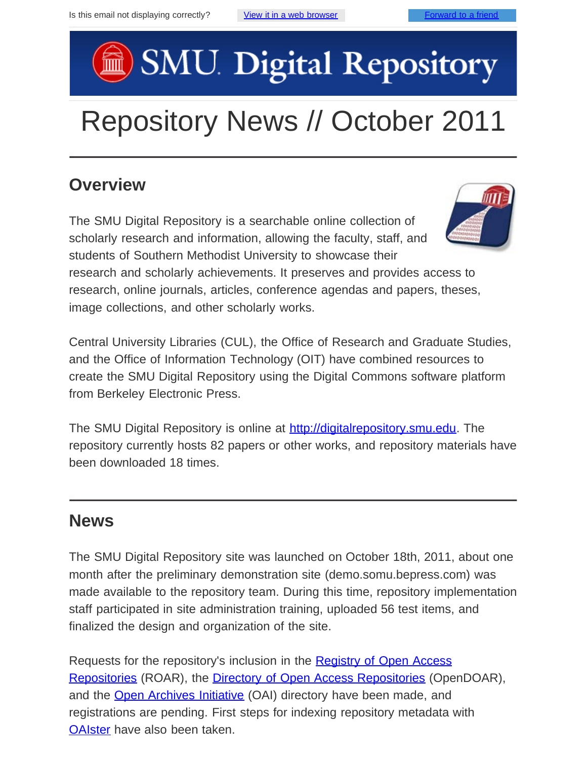# SMU Digital Repository

## Repository News // October 2011

#### **Overview**

The SMU Digital Repository is a searchable online collection of scholarly research and information, allowing the faculty, staff, and students of Southern Methodist University to showcase their



research and scholarly achievements. It preserves and provides access to research, online journals, articles, conference agendas and papers, theses, image collections, and other scholarly works.

Central University Libraries (CUL), the Office of Research and Graduate Studies, and the Office of Information Technology (OIT) have combined resources to create the SMU Digital Repository using the Digital Commons software platform from Berkeley Electronic Press.

The SMU Digital Repository is online at [http://digitalrepository.smu.edu](http://digitalrepository.smu.edu/). The repository currently hosts 82 papers or other works, and repository materials have been downloaded 18 times.

#### **News**

The SMU Digital Repository site was launched on October 18th, 2011, about one month after the preliminary demonstration site (demo.somu.bepress.com) was made available to the repository team. During this time, repository implementation staff participated in site administration training, uploaded 56 test items, and finalized the design and organization of the site.

Requests for the repository's inclusion in the **Registry of Open Access** [Repositories](http://roar.eprints.org/) (ROAR), the **[Directory of Open Access Repositories](http://www.opendoar.org/)** (OpenDOAR), and the **Open Archives Initiative** (OAI) directory have been made, and registrations are pending. First steps for indexing repository metadata with [OAIster](http://www.oclc.org/oaister/) have also been taken.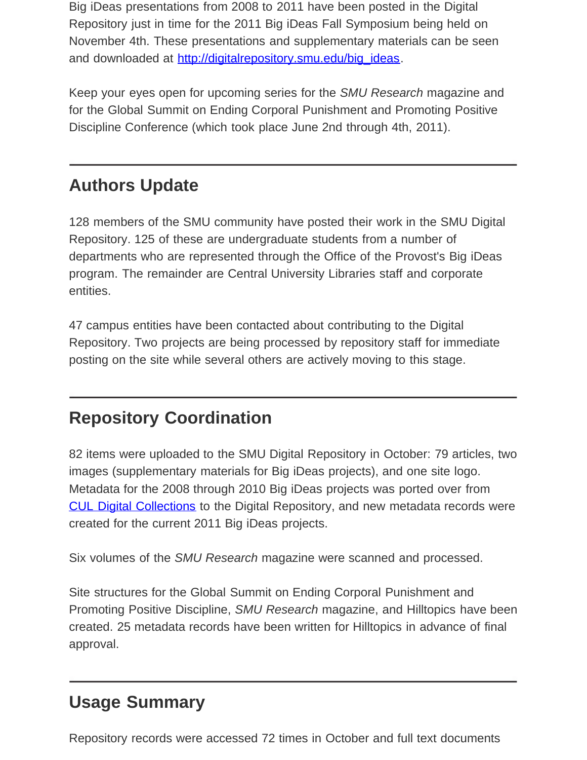Big iDeas presentations from 2008 to 2011 have been posted in the Digital Repository just in time for the 2011 Big iDeas Fall Symposium being held on November 4th. These presentations and supplementary materials can be seen and downloaded at [http://digitalrepository.smu.edu/big\\_ideas.](http://digitalrepository.smu.edu/big_ideas)

Keep your eyes open for upcoming series for the *SMU Research* magazine and for the Global Summit on Ending Corporal Punishment and Promoting Positive Discipline Conference (which took place June 2nd through 4th, 2011).

#### **Authors Update**

128 members of the SMU community have posted their work in the SMU Digital Repository. 125 of these are undergraduate students from a number of departments who are represented through the Office of the Provost's Big iDeas program. The remainder are Central University Libraries staff and corporate entities.

47 campus entities have been contacted about contributing to the Digital Repository. Two projects are being processed by repository staff for immediate posting on the site while several others are actively moving to this stage.

#### **Repository Coordination**

82 items were uploaded to the SMU Digital Repository in October: 79 articles, two images (supplementary materials for Big iDeas projects), and one site logo. Metadata for the 2008 through 2010 Big iDeas projects was ported over from [CUL Digital Collections](http://digitalcollections.smu.edu/all/cul/) to the Digital Repository, and new metadata records were created for the current 2011 Big iDeas projects.

Six volumes of the *SMU Research* magazine were scanned and processed.

Site structures for the Global Summit on Ending Corporal Punishment and Promoting Positive Discipline, *SMU Research* magazine, and Hilltopics have been created. 25 metadata records have been written for Hilltopics in advance of final approval.

### **Usage Summary**

Repository records were accessed 72 times in October and full text documents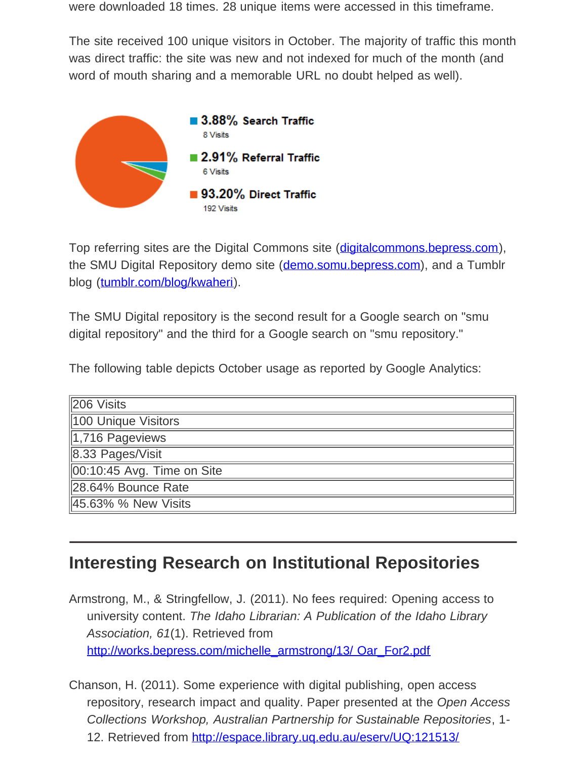were downloaded 18 times. 28 unique items were accessed in this timeframe.

The site received 100 unique visitors in October. The majority of traffic this month was direct traffic: the site was new and not indexed for much of the month (and word of mouth sharing and a memorable URL no doubt helped as well).



Top referring sites are the Digital Commons site ([digitalcommons.bepress.com\)](http://digitalcommons.bepress.com/), the SMU Digital Repository demo site ([demo.somu.bepress.com\)](http://demo.somu.bepress.com/), and a Tumblr blog ([tumblr.com/blog/kwaheri\)](http://tumblr.com/blog/kwaheri).

The SMU Digital repository is the second result for a Google search on "smu digital repository" and the third for a Google search on "smu repository."

The following table depicts October usage as reported by Google Analytics:

| 206 Visits                     |
|--------------------------------|
| 100 Unique Visitors            |
| 1,716 Pageviews                |
| 8.33 Pages/Visit               |
| $\ 00:10:45$ Avg. Time on Site |
| 28.64% Bounce Rate             |
| 45.63% % New Visits            |

#### **Interesting Research on Institutional Repositories**

Armstrong, M., & Stringfellow, J. (2011). No fees required: Opening access to university content. *The Idaho Librarian: A Publication of the Idaho Library Association, 61*(1). Retrieved from [http://works.bepress.com/michelle\\_armstrong/13/ Oar\\_For2.pdf](http://works.bepress.com/michelle_armstrong/13/%20Oar_For2.pdf)

Chanson, H. (2011). Some experience with digital publishing, open access repository, research impact and quality. Paper presented at the *Open Access Collections Workshop, Australian Partnership for Sustainable Repositories*, 1 12. Retrieved from<http://espace.library.uq.edu.au/eserv/UQ:121513/>